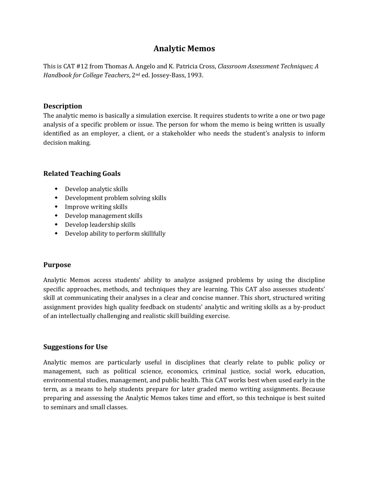# **Analytic Memos**

This is CAT #12 from Thomas A. Angelo and K. Patricia Cross, *Classroom Assessment Techniques; A Handbook for College Teachers*, 2nd ed. Jossey-Bass, 1993.

#### **Description**

The analytic memo is basically a simulation exercise. It requires students to write a one or two page analysis of a specific problem or issue. The person for whom the memo is being written is usually identified as an employer, a client, or a stakeholder who needs the student's analysis to inform decision making.

#### **Related Teaching Goals**

- Develop analytic skills
- Development problem solving skills
- Improve writing skills
- Develop management skills
- Develop leadership skills
- Develop ability to perform skillfully

#### **Purpose**

Analytic Memos access students' ability to analyze assigned problems by using the discipline specific approaches, methods, and techniques they are learning. This CAT also assesses students' skill at communicating their analyses in a clear and concise manner. This short, structured writing assignment provides high quality feedback on students' analytic and writing skills as a by-product of an intellectually challenging and realistic skill building exercise.

#### **Suggestions for Use**

Analytic memos are particularly useful in disciplines that clearly relate to public policy or management, such as political science, economics, criminal justice, social work, education, environmental studies, management, and public health. This CAT works best when used early in the term, as a means to help students prepare for later graded memo writing assignments. Because preparing and assessing the Analytic Memos takes time and effort, so this technique is best suited to seminars and small classes.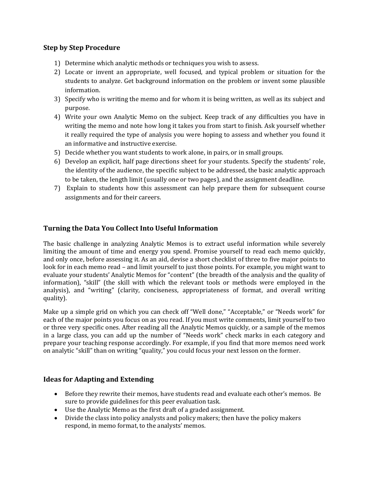## **Step by Step Procedure**

- 1) Determine which analytic methods or techniques you wish to assess.
- 2) Locate or invent an appropriate, well focused, and typical problem or situation for the students to analyze. Get background information on the problem or invent some plausible information.
- 3) Specify who is writing the memo and for whom it is being written, as well as its subject and purpose.
- 4) Write your own Analytic Memo on the subject. Keep track of any difficulties you have in writing the memo and note how long it takes you from start to finish. Ask yourself whether it really required the type of analysis you were hoping to assess and whether you found it an informative and instructive exercise.
- 5) Decide whether you want students to work alone, in pairs, or in small groups.
- 6) Develop an explicit, half page directions sheet for your students. Specify the students' role, the identity of the audience, the specific subject to be addressed, the basic analytic approach to be taken, the length limit (usually one or two pages), and the assignment deadline.
- 7) Explain to students how this assessment can help prepare them for subsequent course assignments and for their careers.

## **Turning the Data You Collect Into Useful Information**

The basic challenge in analyzing Analytic Memos is to extract useful information while severely limiting the amount of time and energy you spend. Promise yourself to read each memo quickly, and only once, before assessing it. As an aid, devise a short checklist of three to five major points to look for in each memo read – and limit yourself to just those points. For example, you might want to evaluate your students' Analytic Memos for "content" (the breadth of the analysis and the quality of information), "skill" (the skill with which the relevant tools or methods were employed in the analysis), and "writing" (clarity, conciseness, appropriateness of format, and overall writing quality).

Make up a simple grid on which you can check off "Well done," "Acceptable," or "Needs work" for each of the major points you focus on as you read. If you must write comments, limit yourself to two or three very specific ones. After reading all the Analytic Memos quickly, or a sample of the memos in a large class, you can add up the number of "Needs work" check marks in each category and prepare your teaching response accordingly. For example, if you find that more memos need work on analytic "skill" than on writing "quality," you could focus your next lesson on the former.

#### **Ideas for Adapting and Extending**

- Before they rewrite their memos, have students read and evaluate each other's memos. Be sure to provide guidelines for this peer evaluation task.
- Use the Analytic Memo as the first draft of a graded assignment.
- Divide the class into policy analysts and policy makers; then have the policy makers respond, in memo format, to the analysts' memos.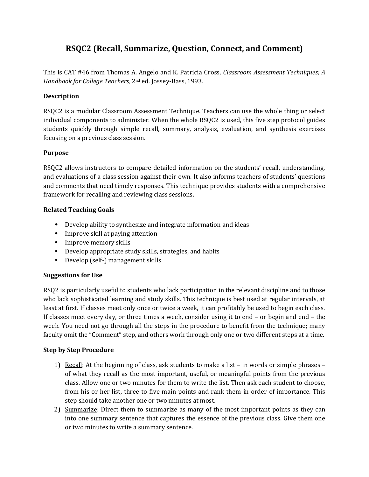# **RSQC2 (Recall, Summarize, Question, Connect, and Comment)**

This is CAT #46 from Thomas A. Angelo and K. Patricia Cross, *Classroom Assessment Techniques; A Handbook for College Teachers*, 2nd ed. Jossey-Bass, 1993.

### **Description**

RSQC2 is a modular Classroom Assessment Technique. Teachers can use the whole thing or select individual components to administer. When the whole RSQC2 is used, this five step protocol guides students quickly through simple recall, summary, analysis, evaluation, and synthesis exercises focusing on a previous class session.

#### **Purpose**

RSQC2 allows instructors to compare detailed information on the students' recall, understanding, and evaluations of a class session against their own. It also informs teachers of students' questions and comments that need timely responses. This technique provides students with a comprehensive framework for recalling and reviewing class sessions.

#### **Related Teaching Goals**

- Develop ability to synthesize and integrate information and ideas
- Improve skill at paying attention
- Improve memory skills
- Develop appropriate study skills, strategies, and habits
- Develop (self-) management skills

#### **Suggestions for Use**

RSQ2 is particularly useful to students who lack participation in the relevant discipline and to those who lack sophisticated learning and study skills. This technique is best used at regular intervals, at least at first. If classes meet only once or twice a week, it can profitably be used to begin each class. If classes meet every day, or three times a week, consider using it to end – or begin and end – the week. You need not go through all the steps in the procedure to benefit from the technique; many faculty omit the "Comment" step, and others work through only one or two different steps at a time.

#### **Step by Step Procedure**

- 1) Recall: At the beginning of class, ask students to make a list in words or simple phrases of what they recall as the most important, useful, or meaningful points from the previous class. Allow one or two minutes for them to write the list. Then ask each student to choose, from his or her list, three to five main points and rank them in order of importance. This step should take another one or two minutes at most.
- 2) Summarize: Direct them to summarize as many of the most important points as they can into one summary sentence that captures the essence of the previous class. Give them one or two minutes to write a summary sentence.